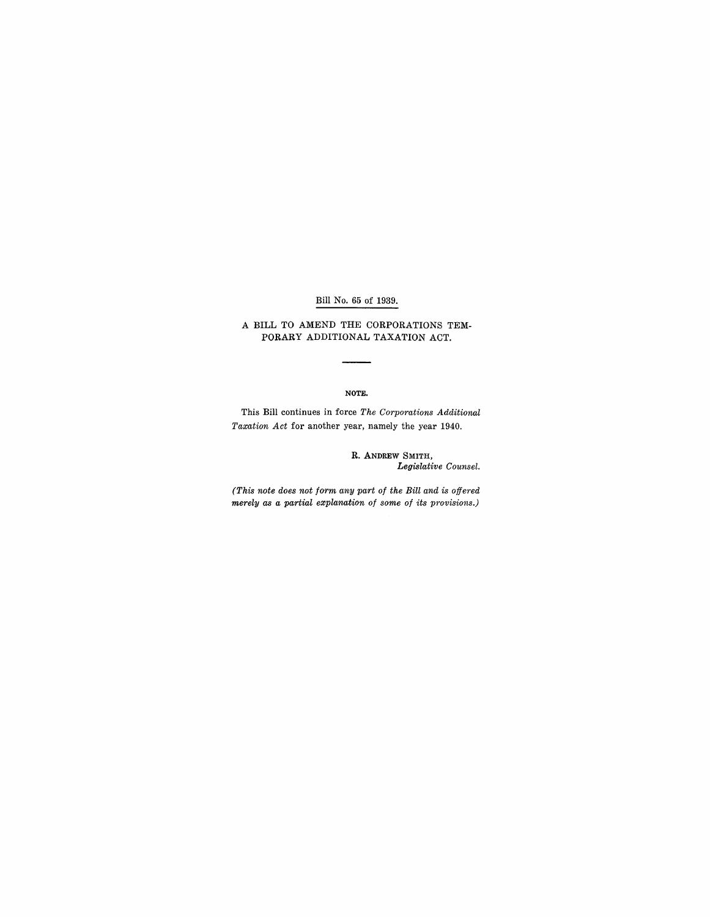### Bill No. 65 of 1939.

### A BILL TO AMEND THE CORPORATIONS TEM-PORARY ADDITIONAL TAXATION ACT.

#### NOTE.

This Bill continues in force *The Corporations Additional Taxation Act* for another year, namely the year 1940.

> R. ANDREW SMITH, *Legislative Counsel.*

*(This note does not form any part of the Bill and is offered merely as a partial explanation of some of its provisions.)*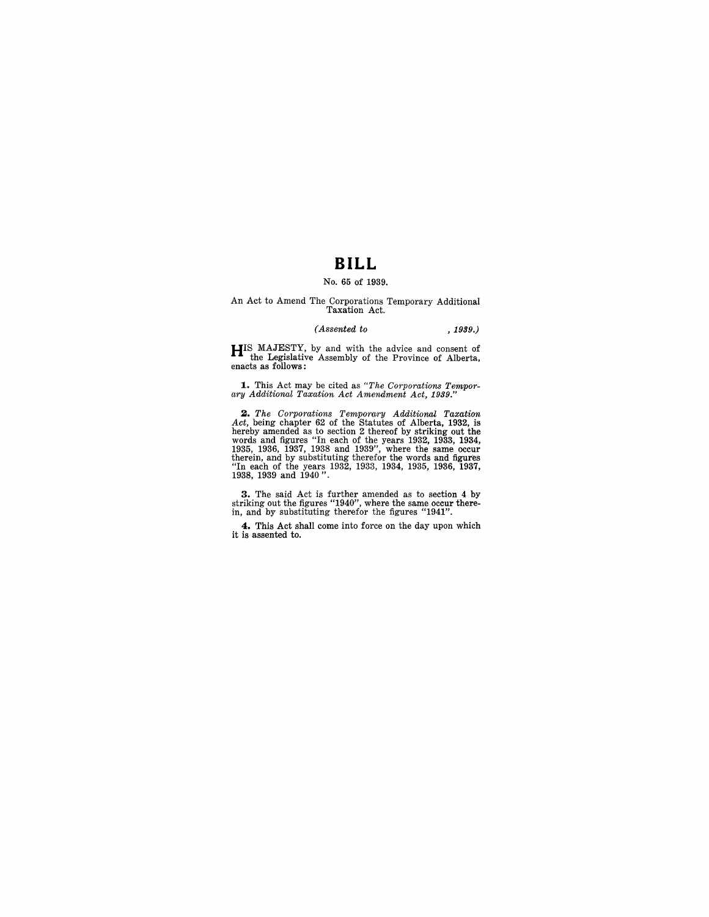# **BILL**

## No. 65 of 1939.

# An Act to Amend The Corporations Temporary Additional Taxation Act.

#### *(Assented to* ,1999.)

**HIS** MAJESTY, by and with the advice and consent of the Legislative Assembly of the Province of Alberta, enacts as follows:

**1.** This Act may be cited as *"The Corporations Tempor-ary Additional Taxation Act Amendment Act, 1939."* 

**2.** The Corporations Temporary Additional Taxation Act, being chapter 62 of the Statutes of Alberta, 1932, is hereby amended as to section 2 thereof by striking out the words and figures "In each of the years 1932, 1933,

**3.** The said Act is further amended as to section 4 by striking out the figures "1940", where the same occur there-<br>in, and by substituting therefor the figures "1941".

**4.** This Act shall come into force on the day upon which it is assented to.